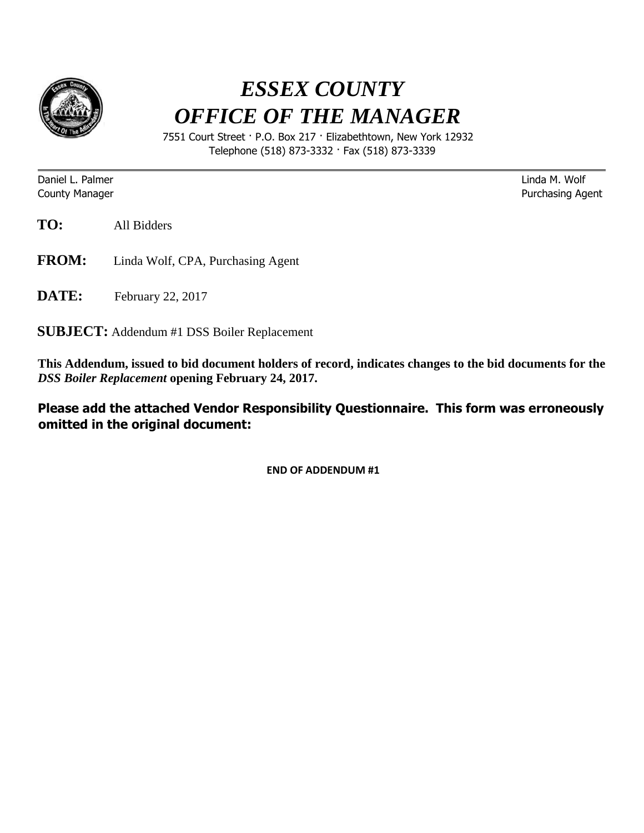

## *ESSEX COUNTY OFFICE OF THE MANAGER*

 7551 Court Street · P.O. Box 217 · Elizabethtown, New York 12932 Telephone (518) 873-3332 · Fax (518) 873-3339

Daniel L. Palmer Linda M. Wolf

**County Manager County Manager 2018 County Manager** Purchasing Agent

**TO:** All Bidders

- **FROM:** Linda Wolf, CPA, Purchasing Agent
- **DATE:** February 22, 2017

**SUBJECT:** Addendum #1 DSS Boiler Replacement

**This Addendum, issued to bid document holders of record, indicates changes to the bid documents for the**  *DSS Boiler Replacement* **opening February 24, 2017.** 

**Please add the attached Vendor Responsibility Questionnaire. This form was erroneously omitted in the original document:** 

**END OF ADDENDUM #1**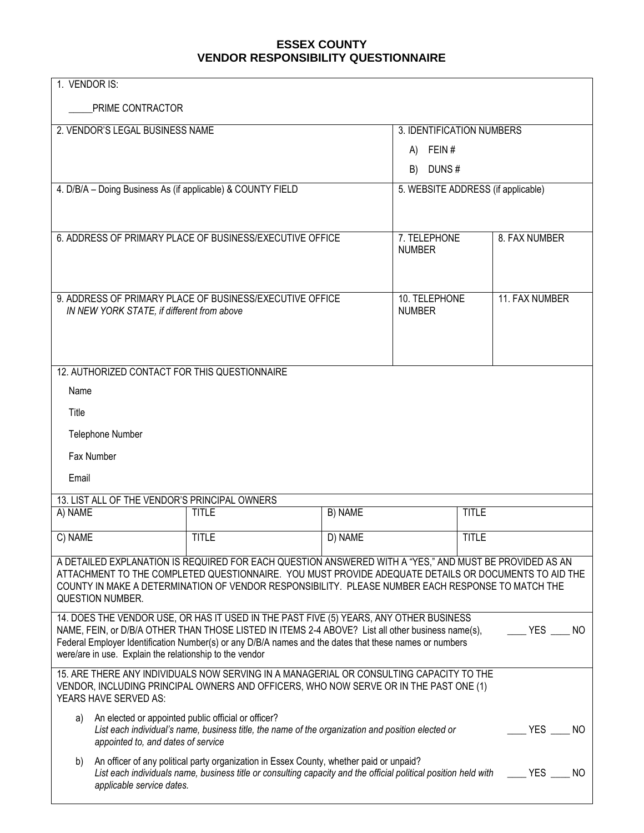## **ESSEX COUNTY VENDOR RESPONSIBILITY QUESTIONNAIRE**

| 1. VENDOR IS:                                                                                                                                                                                                                                                                                                                                                                         |                                                                                                                                                                                                                        |                                |                                    |  |
|---------------------------------------------------------------------------------------------------------------------------------------------------------------------------------------------------------------------------------------------------------------------------------------------------------------------------------------------------------------------------------------|------------------------------------------------------------------------------------------------------------------------------------------------------------------------------------------------------------------------|--------------------------------|------------------------------------|--|
| PRIME CONTRACTOR                                                                                                                                                                                                                                                                                                                                                                      |                                                                                                                                                                                                                        |                                |                                    |  |
| 2. VENDOR'S LEGAL BUSINESS NAME                                                                                                                                                                                                                                                                                                                                                       |                                                                                                                                                                                                                        |                                | 3. IDENTIFICATION NUMBERS          |  |
|                                                                                                                                                                                                                                                                                                                                                                                       |                                                                                                                                                                                                                        | A)                             | FEIN#                              |  |
|                                                                                                                                                                                                                                                                                                                                                                                       |                                                                                                                                                                                                                        | DUNS#<br>B)                    |                                    |  |
| 4. D/B/A - Doing Business As (if applicable) & COUNTY FIELD                                                                                                                                                                                                                                                                                                                           |                                                                                                                                                                                                                        |                                | 5. WEBSITE ADDRESS (if applicable) |  |
|                                                                                                                                                                                                                                                                                                                                                                                       |                                                                                                                                                                                                                        |                                |                                    |  |
| 6. ADDRESS OF PRIMARY PLACE OF BUSINESS/EXECUTIVE OFFICE                                                                                                                                                                                                                                                                                                                              |                                                                                                                                                                                                                        | 7. TELEPHONE<br><b>NUMBER</b>  | 8. FAX NUMBER                      |  |
| 9. ADDRESS OF PRIMARY PLACE OF BUSINESS/EXECUTIVE OFFICE<br>IN NEW YORK STATE, if different from above                                                                                                                                                                                                                                                                                |                                                                                                                                                                                                                        | 10. TELEPHONE<br><b>NUMBER</b> | 11. FAX NUMBER                     |  |
| 12. AUTHORIZED CONTACT FOR THIS QUESTIONNAIRE                                                                                                                                                                                                                                                                                                                                         |                                                                                                                                                                                                                        |                                |                                    |  |
| Name                                                                                                                                                                                                                                                                                                                                                                                  |                                                                                                                                                                                                                        |                                |                                    |  |
| Title                                                                                                                                                                                                                                                                                                                                                                                 |                                                                                                                                                                                                                        |                                |                                    |  |
| Telephone Number                                                                                                                                                                                                                                                                                                                                                                      |                                                                                                                                                                                                                        |                                |                                    |  |
| Fax Number                                                                                                                                                                                                                                                                                                                                                                            |                                                                                                                                                                                                                        |                                |                                    |  |
| Email                                                                                                                                                                                                                                                                                                                                                                                 |                                                                                                                                                                                                                        |                                |                                    |  |
| 13. LIST ALL OF THE VENDOR'S PRINCIPAL OWNERS                                                                                                                                                                                                                                                                                                                                         |                                                                                                                                                                                                                        |                                |                                    |  |
| A) NAME                                                                                                                                                                                                                                                                                                                                                                               | <b>TITLE</b>                                                                                                                                                                                                           | B) NAME                        | <b>TITLE</b>                       |  |
| C) NAME                                                                                                                                                                                                                                                                                                                                                                               | <b>TITLE</b>                                                                                                                                                                                                           | D) NAME                        | <b>TITLE</b>                       |  |
| A DETAILED EXPLANATION IS REQUIRED FOR EACH QUESTION ANSWERED WITH A "YES," AND MUST BE PROVIDED AS AN<br>ATTACHMENT TO THE COMPLETED QUESTIONNAIRE. YOU MUST PROVIDE ADEQUATE DETAILS OR DOCUMENTS TO AID THE<br>COUNTY IN MAKE A DETERMINATION OF VENDOR RESPONSIBILITY. PLEASE NUMBER EACH RESPONSE TO MATCH THE<br><b>QUESTION NUMBER.</b>                                        |                                                                                                                                                                                                                        |                                |                                    |  |
| 14. DOES THE VENDOR USE, OR HAS IT USED IN THE PAST FIVE (5) YEARS, ANY OTHER BUSINESS<br>NAME, FEIN, or D/B/A OTHER THAN THOSE LISTED IN ITEMS 2-4 ABOVE? List all other business name(s),<br><b>YES</b><br>NO.<br>Federal Employer Identification Number(s) or any D/B/A names and the dates that these names or numbers<br>were/are in use. Explain the relationship to the vendor |                                                                                                                                                                                                                        |                                |                                    |  |
| <b>YEARS HAVE SERVED AS:</b>                                                                                                                                                                                                                                                                                                                                                          | 15. ARE THERE ANY INDIVIDUALS NOW SERVING IN A MANAGERIAL OR CONSULTING CAPACITY TO THE<br>VENDOR, INCLUDING PRINCIPAL OWNERS AND OFFICERS, WHO NOW SERVE OR IN THE PAST ONE (1)                                       |                                |                                    |  |
| a)                                                                                                                                                                                                                                                                                                                                                                                    | An elected or appointed public official or officer?<br>List each individual's name, business title, the name of the organization and position elected or<br>$\_$ YES $\_$<br>NO.<br>appointed to, and dates of service |                                |                                    |  |
| An officer of any political party organization in Essex County, whether paid or unpaid?<br>b)<br>List each individuals name, business title or consulting capacity and the official political position held with<br>YES<br>applicable service dates.                                                                                                                                  |                                                                                                                                                                                                                        |                                | NO.                                |  |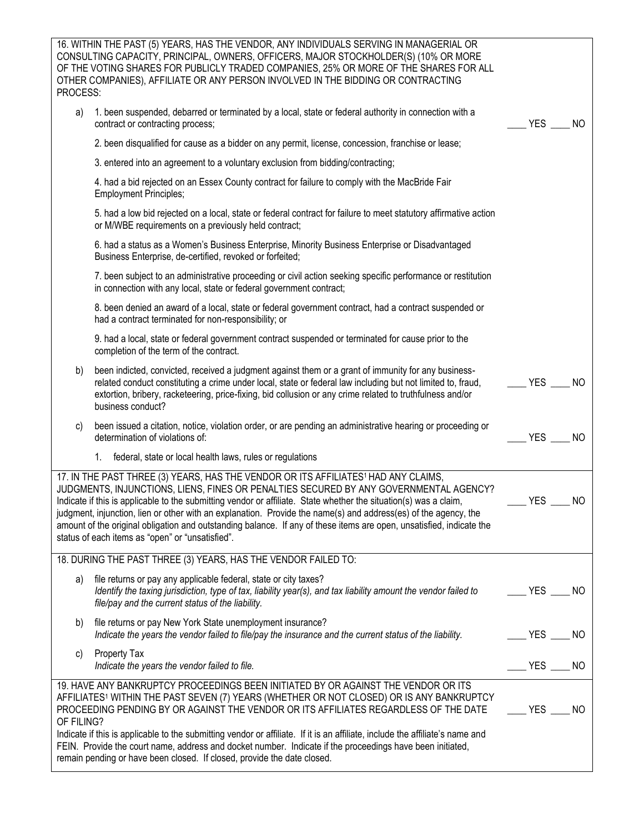| 16. WITHIN THE PAST (5) YEARS, HAS THE VENDOR, ANY INDIVIDUALS SERVING IN MANAGERIAL OR<br>CONSULTING CAPACITY, PRINCIPAL, OWNERS, OFFICERS, MAJOR STOCKHOLDER(S) (10% OR MORE<br>OF THE VOTING SHARES FOR PUBLICLY TRADED COMPANIES, 25% OR MORE OF THE SHARES FOR ALL<br>OTHER COMPANIES), AFFILIATE OR ANY PERSON INVOLVED IN THE BIDDING OR CONTRACTING<br>PROCESS:                                                                                                                                                                                                                                     |                                                  |
|-------------------------------------------------------------------------------------------------------------------------------------------------------------------------------------------------------------------------------------------------------------------------------------------------------------------------------------------------------------------------------------------------------------------------------------------------------------------------------------------------------------------------------------------------------------------------------------------------------------|--------------------------------------------------|
| 1. been suspended, debarred or terminated by a local, state or federal authority in connection with a<br>a)<br>contract or contracting process;                                                                                                                                                                                                                                                                                                                                                                                                                                                             | <b>YES</b><br>NO.                                |
| 2. been disqualified for cause as a bidder on any permit, license, concession, franchise or lease;                                                                                                                                                                                                                                                                                                                                                                                                                                                                                                          |                                                  |
| 3. entered into an agreement to a voluntary exclusion from bidding/contracting;                                                                                                                                                                                                                                                                                                                                                                                                                                                                                                                             |                                                  |
| 4. had a bid rejected on an Essex County contract for failure to comply with the MacBride Fair<br><b>Employment Principles;</b>                                                                                                                                                                                                                                                                                                                                                                                                                                                                             |                                                  |
| 5. had a low bid rejected on a local, state or federal contract for failure to meet statutory affirmative action<br>or M/WBE requirements on a previously held contract;                                                                                                                                                                                                                                                                                                                                                                                                                                    |                                                  |
| 6. had a status as a Women's Business Enterprise, Minority Business Enterprise or Disadvantaged<br>Business Enterprise, de-certified, revoked or forfeited;                                                                                                                                                                                                                                                                                                                                                                                                                                                 |                                                  |
| 7. been subject to an administrative proceeding or civil action seeking specific performance or restitution<br>in connection with any local, state or federal government contract;                                                                                                                                                                                                                                                                                                                                                                                                                          |                                                  |
| 8. been denied an award of a local, state or federal government contract, had a contract suspended or<br>had a contract terminated for non-responsibility; or                                                                                                                                                                                                                                                                                                                                                                                                                                               |                                                  |
| 9. had a local, state or federal government contract suspended or terminated for cause prior to the<br>completion of the term of the contract.                                                                                                                                                                                                                                                                                                                                                                                                                                                              |                                                  |
| been indicted, convicted, received a judgment against them or a grant of immunity for any business-<br>b)<br>related conduct constituting a crime under local, state or federal law including but not limited to, fraud,<br>extortion, bribery, racketeering, price-fixing, bid collusion or any crime related to truthfulness and/or<br>business conduct?                                                                                                                                                                                                                                                  | <b>YES</b><br>NO.                                |
| been issued a citation, notice, violation order, or are pending an administrative hearing or proceeding or<br>C)<br>determination of violations of:                                                                                                                                                                                                                                                                                                                                                                                                                                                         | <b>YES</b><br><b>NO</b>                          |
| 1.<br>federal, state or local health laws, rules or regulations                                                                                                                                                                                                                                                                                                                                                                                                                                                                                                                                             |                                                  |
| 17. IN THE PAST THREE (3) YEARS, HAS THE VENDOR OR ITS AFFILIATES <sup>1</sup> HAD ANY CLAIMS,<br>JUDGMENTS, INJUNCTIONS, LIENS, FINES OR PENALTIES SECURED BY ANY GOVERNMENTAL AGENCY?<br>Indicate if this is applicable to the submitting vendor or affiliate. State whether the situation(s) was a claim,<br>judgment, injunction, lien or other with an explanation. Provide the name(s) and address(es) of the agency, the<br>amount of the original obligation and outstanding balance. If any of these items are open, unsatisfied, indicate the<br>status of each items as "open" or "unsatisfied". | <b>YES</b><br><b>NO</b>                          |
| 18. DURING THE PAST THREE (3) YEARS, HAS THE VENDOR FAILED TO:                                                                                                                                                                                                                                                                                                                                                                                                                                                                                                                                              |                                                  |
| file returns or pay any applicable federal, state or city taxes?<br>a)<br>Identify the taxing jurisdiction, type of tax, liability year(s), and tax liability amount the vendor failed to<br>file/pay and the current status of the liability.                                                                                                                                                                                                                                                                                                                                                              | $\rule{1em}{0.15mm}$ YES $\rule{1em}{0.15mm}$ NO |
| file returns or pay New York State unemployment insurance?<br>b)<br>Indicate the years the vendor failed to file/pay the insurance and the current status of the liability.                                                                                                                                                                                                                                                                                                                                                                                                                                 | $YES$ ______ NO                                  |
| Property Tax<br>C)<br>Indicate the years the vendor failed to file.                                                                                                                                                                                                                                                                                                                                                                                                                                                                                                                                         | $\rule{1em}{0.15mm}$ YES $\rule{1em}{0.15mm}$ NO |
| 19. HAVE ANY BANKRUPTCY PROCEEDINGS BEEN INITIATED BY OR AGAINST THE VENDOR OR ITS<br>AFFILIATES <sup>1</sup> WITHIN THE PAST SEVEN (7) YEARS (WHETHER OR NOT CLOSED) OR IS ANY BANKRUPTCY<br>PROCEEDING PENDING BY OR AGAINST THE VENDOR OR ITS AFFILIATES REGARDLESS OF THE DATE<br>OF FILING?                                                                                                                                                                                                                                                                                                            | $YES$ NO                                         |
| Indicate if this is applicable to the submitting vendor or affiliate. If it is an affiliate, include the affiliate's name and<br>FEIN. Provide the court name, address and docket number. Indicate if the proceedings have been initiated,<br>remain pending or have been closed. If closed, provide the date closed.                                                                                                                                                                                                                                                                                       |                                                  |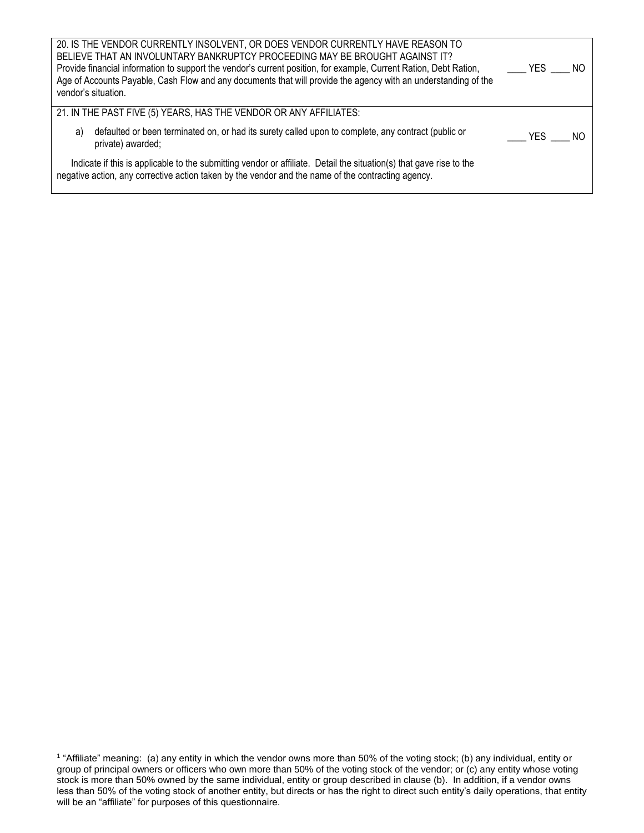| 20. IS THE VENDOR CURRENTLY INSOLVENT, OR DOES VENDOR CURRENTLY HAVE REASON TO<br>BELIEVE THAT AN INVOLUNTARY BANKRUPTCY PROCEEDING MAY BE BROUGHT AGAINST IT?<br>Provide financial information to support the vendor's current position, for example, Current Ration, Debt Ration,<br>Age of Accounts Payable, Cash Flow and any documents that will provide the agency with an understanding of the<br>vendor's situation. | $YES$ $N0$ |     |
|------------------------------------------------------------------------------------------------------------------------------------------------------------------------------------------------------------------------------------------------------------------------------------------------------------------------------------------------------------------------------------------------------------------------------|------------|-----|
| 21. IN THE PAST FIVE (5) YEARS, HAS THE VENDOR OR ANY AFFILIATES:                                                                                                                                                                                                                                                                                                                                                            |            |     |
| defaulted or been terminated on, or had its surety called upon to complete, any contract (public or<br>a)<br>private) awarded;                                                                                                                                                                                                                                                                                               | $YES$ ____ | NO. |
| Indicate if this is applicable to the submitting vendor or affiliate. Detail the situation(s) that gave rise to the<br>negative action, any corrective action taken by the vendor and the name of the contracting agency.                                                                                                                                                                                                    |            |     |

<sup>1</sup> "Affiliate" meaning: (a) any entity in which the vendor owns more than 50% of the voting stock; (b) any individual, entity or group of principal owners or officers who own more than 50% of the voting stock of the vendor; or (c) any entity whose voting stock is more than 50% owned by the same individual, entity or group described in clause (b). In addition, if a vendor owns less than 50% of the voting stock of another entity, but directs or has the right to direct such entity's daily operations, that entity will be an "affiliate" for purposes of this questionnaire.